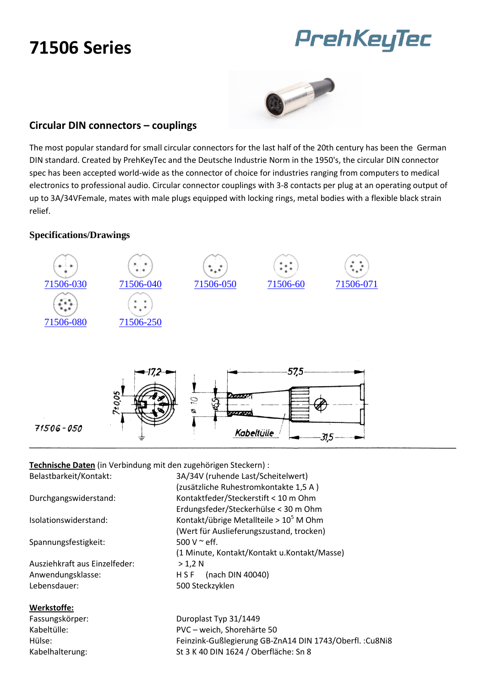### **71506 Series**

# PrehKeyTec



#### **Circular DIN connectors – couplings**

The most popular standard for small circular connectors for the last half of the 20th century has been the German DIN standard. Created by PrehKeyTec and the Deutsche Industrie Norm in the 1950's, the circular DIN connector spec has been accepted world-wide as the connector of choice for industries ranging from computers to medical electronics to professional audio. Circular connector couplings with 3-8 contacts per plug at an operating output of up to 3A/34VFemale, mates with male plugs equipped with locking rings, metal bodies with a flexible black strain relief.

#### **Specifications/Drawings**



**Technische Daten** (in Verbindung mit den zugehörigen Steckern) :

Belastbarkeit/Kontakt: 3A/34V (ruhende Last/Scheitelwert) (zusätzliche Ruhestromkontakte 1,5 A ) Durchgangswiderstand: Kontaktfeder/Steckerstift < 10 m Ohm Erdungsfeder/Steckerhülse < 30 m Ohm Isolationswiderstand: Kontakt/übrige Metallteile >  $10^5$  M Ohm (Wert für Auslieferungszustand, trocken) Spannungsfestigkeit: 500 V ~ eff. (1 Minute, Kontakt/Kontakt u.Kontakt/Masse) Ausziehkraft aus Einzelfeder: > 1,2 N Anwendungsklasse: H S F (nach DIN 40040) Lebensdauer: 500 Steckzyklen

#### Fassungskörper: Duroplast Typ 31/1449 Kabeltülle: PVC – weich, Shorehärte 50 Hülse: Feinzink-Gußlegierung GB-ZnA14 DIN 1743/Oberfl. :Cu8Ni8 Kabelhalterung: St 3 K 40 DIN 1624 / Oberfläche: Sn 8

**Werkstoffe:**